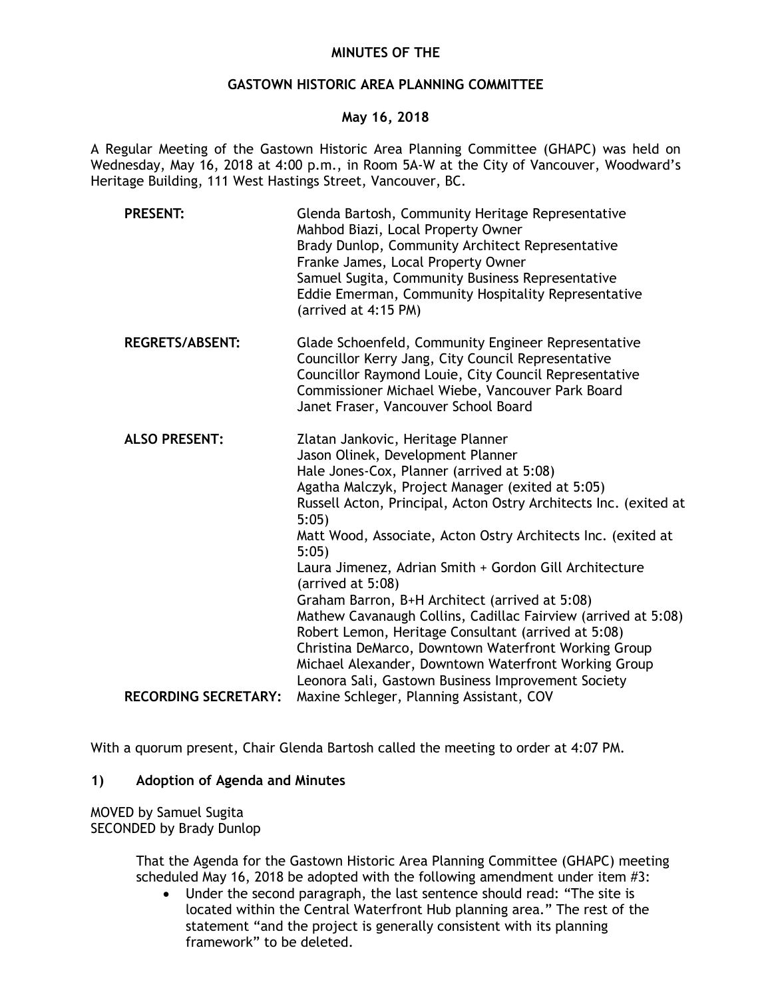# **MINUTES OF THE**

## **GASTOWN HISTORIC AREA PLANNING COMMITTEE**

## **May 16, 2018**

A Regular Meeting of the Gastown Historic Area Planning Committee (GHAPC) was held on Wednesday, May 16, 2018 at 4:00 p.m., in Room 5A-W at the City of Vancouver, Woodward's Heritage Building, 111 West Hastings Street, Vancouver, BC.

| <b>PRESENT:</b>             | Glenda Bartosh, Community Heritage Representative<br>Mahbod Biazi, Local Property Owner<br>Brady Dunlop, Community Architect Representative<br>Franke James, Local Property Owner<br>Samuel Sugita, Community Business Representative<br>Eddie Emerman, Community Hospitality Representative<br>(arrived at 4:15 PM)                                                                                                                                                                                                                                                                                                                                                                                                                                        |
|-----------------------------|-------------------------------------------------------------------------------------------------------------------------------------------------------------------------------------------------------------------------------------------------------------------------------------------------------------------------------------------------------------------------------------------------------------------------------------------------------------------------------------------------------------------------------------------------------------------------------------------------------------------------------------------------------------------------------------------------------------------------------------------------------------|
| <b>REGRETS/ABSENT:</b>      | Glade Schoenfeld, Community Engineer Representative<br>Councillor Kerry Jang, City Council Representative<br>Councillor Raymond Louie, City Council Representative<br>Commissioner Michael Wiebe, Vancouver Park Board<br>Janet Fraser, Vancouver School Board                                                                                                                                                                                                                                                                                                                                                                                                                                                                                              |
| <b>ALSO PRESENT:</b>        | Zlatan Jankovic, Heritage Planner<br>Jason Olinek, Development Planner<br>Hale Jones-Cox, Planner (arrived at 5:08)<br>Agatha Malczyk, Project Manager (exited at 5:05)<br>Russell Acton, Principal, Acton Ostry Architects Inc. (exited at<br>5:05<br>Matt Wood, Associate, Acton Ostry Architects Inc. (exited at<br>5:05)<br>Laura Jimenez, Adrian Smith + Gordon Gill Architecture<br>(arrived at 5:08)<br>Graham Barron, B+H Architect (arrived at 5:08)<br>Mathew Cavanaugh Collins, Cadillac Fairview (arrived at 5:08)<br>Robert Lemon, Heritage Consultant (arrived at 5:08)<br>Christina DeMarco, Downtown Waterfront Working Group<br>Michael Alexander, Downtown Waterfront Working Group<br>Leonora Sali, Gastown Business Improvement Society |
| <b>RECORDING SECRETARY:</b> | Maxine Schleger, Planning Assistant, COV                                                                                                                                                                                                                                                                                                                                                                                                                                                                                                                                                                                                                                                                                                                    |

With a quorum present, Chair Glenda Bartosh called the meeting to order at 4:07 PM.

## **1) Adoption of Agenda and Minutes**

MOVED by Samuel Sugita SECONDED by Brady Dunlop

> That the Agenda for the Gastown Historic Area Planning Committee (GHAPC) meeting scheduled May 16, 2018 be adopted with the following amendment under item #3:

• Under the second paragraph, the last sentence should read: "The site is located within the Central Waterfront Hub planning area." The rest of the statement "and the project is generally consistent with its planning framework" to be deleted.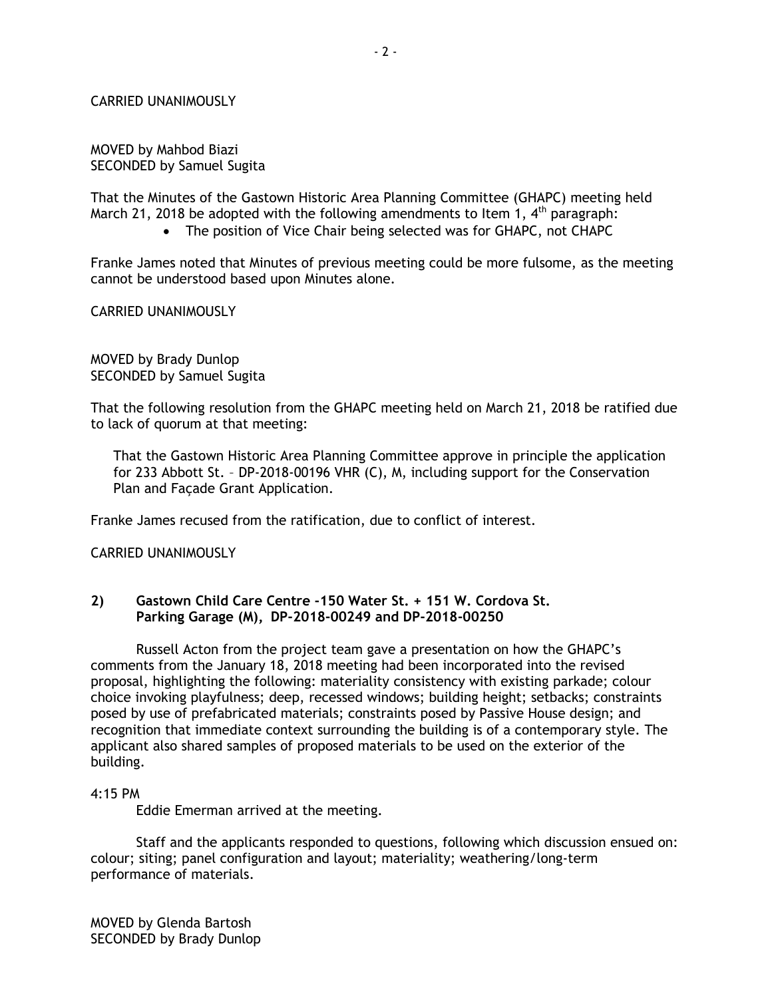#### CARRIED UNANIMOUSLY

MOVED by Mahbod Biazi SECONDED by Samuel Sugita

That the Minutes of the Gastown Historic Area Planning Committee (GHAPC) meeting held March 21, 2018 be adopted with the following amendments to Item 1,  $4<sup>th</sup>$  paragraph:

• The position of Vice Chair being selected was for GHAPC, not CHAPC

Franke James noted that Minutes of previous meeting could be more fulsome, as the meeting cannot be understood based upon Minutes alone.

# CARRIED UNANIMOUSLY

MOVED by Brady Dunlop SECONDED by Samuel Sugita

That the following resolution from the GHAPC meeting held on March 21, 2018 be ratified due to lack of quorum at that meeting:

That the Gastown Historic Area Planning Committee approve in principle the application for 233 Abbott St. – DP-2018-00196 VHR (C), M, including support for the Conservation Plan and Façade Grant Application.

Franke James recused from the ratification, due to conflict of interest.

CARRIED UNANIMOUSLY

## **2) Gastown Child Care Centre -150 Water St. + 151 W. Cordova St. Parking Garage (M), DP-2018-00249 and DP-2018-00250**

Russell Acton from the project team gave a presentation on how the GHAPC's comments from the January 18, 2018 meeting had been incorporated into the revised proposal, highlighting the following: materiality consistency with existing parkade; colour choice invoking playfulness; deep, recessed windows; building height; setbacks; constraints posed by use of prefabricated materials; constraints posed by Passive House design; and recognition that immediate context surrounding the building is of a contemporary style. The applicant also shared samples of proposed materials to be used on the exterior of the building.

#### 4:15 PM

Eddie Emerman arrived at the meeting.

Staff and the applicants responded to questions, following which discussion ensued on: colour; siting; panel configuration and layout; materiality; weathering/long-term performance of materials.

MOVED by Glenda Bartosh SECONDED by Brady Dunlop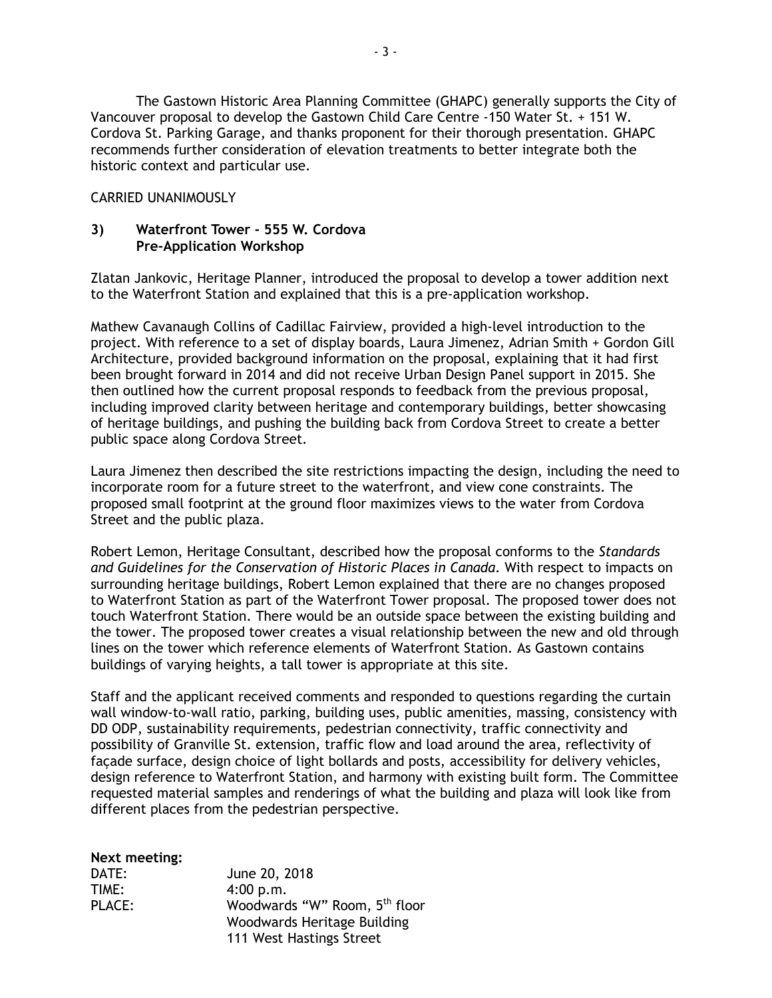The Gastown Historic Area Planning Committee (GHAPC) generally supports the City of Vancouver proposal to develop the Gastown Child Care Centre -150 Water St. + 151 W. Cordova St. Parking Garage, and thanks proponent for their thorough presentation. GHAPC recommends further consideration of elevation treatments to better integrate both the historic context and particular use.

# CARRIED UNANIMOUSLY

# **3) Waterfront Tower - 555 W. Cordova Pre-Application Workshop**

Zlatan Jankovic, Heritage Planner, introduced the proposal to develop a tower addition next to the Waterfront Station and explained that this is a pre-application workshop.

Mathew Cavanaugh Collins of Cadillac Fairview, provided a high-level introduction to the project. With reference to a set of display boards, Laura Jimenez, Adrian Smith + Gordon Gill Architecture, provided background information on the proposal, explaining that it had first been brought forward in 2014 and did not receive Urban Design Panel support in 2015. She then outlined how the current proposal responds to feedback from the previous proposal, including improved clarity between heritage and contemporary buildings, better showcasing of heritage buildings, and pushing the building back from Cordova Street to create a better public space along Cordova Street.

Laura Jimenez then described the site restrictions impacting the design, including the need to incorporate room for a future street to the waterfront, and view cone constraints. The proposed small footprint at the ground floor maximizes views to the water from Cordova Street and the public plaza.

Robert Lemon, Heritage Consultant, described how the proposal conforms to the *Standards and Guidelines for the Conservation of Historic Places in Canada*. With respect to impacts on surrounding heritage buildings, Robert Lemon explained that there are no changes proposed to Waterfront Station as part of the Waterfront Tower proposal. The proposed tower does not touch Waterfront Station. There would be an outside space between the existing building and the tower. The proposed tower creates a visual relationship between the new and old through lines on the tower which reference elements of Waterfront Station. As Gastown contains buildings of varying heights, a tall tower is appropriate at this site.

Staff and the applicant received comments and responded to questions regarding the curtain wall window-to-wall ratio, parking, building uses, public amenities, massing, consistency with DD ODP, sustainability requirements, pedestrian connectivity, traffic connectivity and possibility of Granville St. extension, traffic flow and load around the area, reflectivity of façade surface, design choice of light bollards and posts, accessibility for delivery vehicles, design reference to Waterfront Station, and harmony with existing built form. The Committee requested material samples and renderings of what the building and plaza will look like from different places from the pedestrian perspective.

## **Next meeting:**

| DATE:  | June 20, 2018                             |
|--------|-------------------------------------------|
| TIME:  | 4:00 p.m.                                 |
| PLACE: | Woodwards "W" Room, 5 <sup>th</sup> floor |
|        | Woodwards Heritage Building               |
|        | 111 West Hastings Street                  |